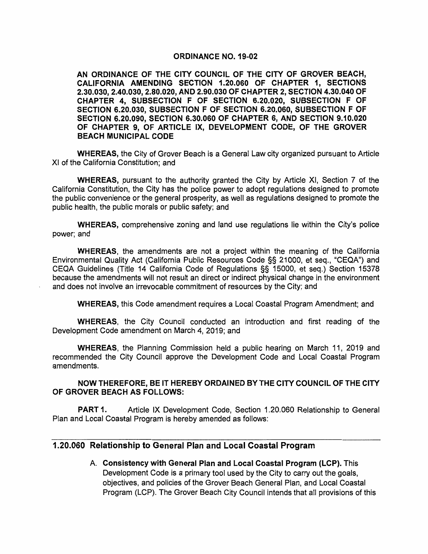#### ORDINANCE NO. 19-02

AN ORDINANCE OF THE CITY COUNCIL OF THE CITY OF GROVER BEACH, CALIFORNIA AMENDING SECTION 1.20.060 OF CHAPTER 1, SECTIONS 2.30.030, 2.40.030, 2.80.020, AND 2.90.030 OF CHAPTER 2, SECTION 4.30.040 OF CHAPTER 4, SUBSECTION F OF SECTION 6.20.020, SUBSECTION F OF SECTION 6.20.030, SUBSECTION F OF SECTION 6.20.060, SUBSECTION F OF SECTION 6.20.090, SECTION 6.30.060 OF CHAPTER 6, AND SECTION 9.10.020 OF CHAPTER 9, OF ARTICLE IX, DEVELOPMENT CODE, OF THE GROVER BEACH MUNICIPAL CODE

WHEREAS, the City of Grover Beach is a General Law city organized pursuant to Article XI of the California Constitution; and

WHEREAS, pursuant to the authority granted the City by Article XI, Section 7 of the California Constitution, the City has the police power to adopt regulations designed to promote the public convenience or the general prosperity, as well as regulations designed to promote the public health, the public morals or public safety; and

WHEREAS, comprehensive zoning and land use regulations lie within the City's police power; and

WHEREAS, the amendments are not a project within the meaning of the California Environmental Quality Act (California Public Resources Code §§ 21000, et seq., "CEQA") and CEQA Guidelines (Title 14 California Code of Regulations §§ 15000, et seq.) Section 15378 because the amendments will not result an direct or indirect physical change in the environment and does not involve an irrevocable commitment of resources by the City; and

WHEREAS, this Code amendment requires a Local Coastal Program Amendment; and

WHEREAS, the City Council conducted an introduction and first reading of the Development Code amendment on March 4, 2019; and

WHEREAS, the Planning Commission held a public hearing on March 11, 2019 and recommended the City Council approve the Development Code and Local Coastal Program amendments.

NOW THEREFORE, BE IT HEREBY ORDAINED BY THE CITY COUNCIL OF THE CITY OF GROVER BEACH AS FOLLOWS:

PART 1. Article IX Development Code, Section 1.20.060 Relationship to General Plan and Local Coastal Program is hereby amended as follows:

#### 1.20.060 Relationship to General Plan and Local Coastal Program

A. Consistency with General Plan and Local Coastal Program (LCP). This Development Code is a primary tool used by the City to carry out the goals, objectives, and policies of the Grover Beach General Plan, and Local Coastal Program (LCP). The Grover Beach City Council intends that all provisions of this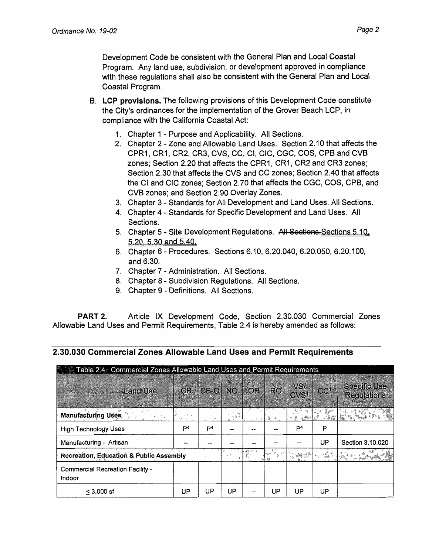Development Code be consistent with the General Plan and Local Coastal Program. Any land use, subdivision, or development approved in compliance with these regulations shall also be consistent with the General Plan and Local Coastal Program.

- **B. LCP provisions.** The following provisions of this Development Code constitute the City's ordinances for the implementation of the Grover Beach LCP, in compliance with the California Coastal Act:
	- 1. Chapter 1 Purpose and Applicability. All Sections.
	- 2. Chapter 2 Zone and Allowable Land Uses. Section 2.10 that affects the CPR1, CR1, CR2, CR3, CVS, CC, Cl, CIC, CGC, COS, CPB and CVB zones; Section 2.20 that affects the CPR1, CR1, CR2 and CR3 zones; Section 2.30 that affects the CVS and CC zones; Section 2.40 that affects the Cl and CIC zones; Section 2. 70 that affects the CGC, COS, CPB, and CVB zones; and Section 2.90 Overlay Zones.
	- 3. Chapter 3 Standards for All Development and Land Uses. All Sections.
	- 4. Chapter 4 Standards for Specific Development and Land Uses. All Sections.
	- 5. Chapter 5 Site Development Regulations. All Sections. Sections 5.10. 5.20 5 30 and 5.40.
	- 6. Chapter 6 Procedures. Sections 6.10, 6.20.040, 6.20.050, 6.20.100, and 6.30.
	- 7. Chapter 7 Administration. All Sections.
	- 8. Chapter 8 Subdivision Regulations. All Sections.
	- 9. Chapter 9 Definitions. All Sections.

**PART** 2. Article IX Development Code, Section 2.30.030 Commercial Zones Allowable Land Uses and Permit Requirements, Table 2.4 is hereby amended as follows:

## **2.30.030 Commercial Zones Allowable Land Uses and Permit Requirements**

| Table 2.4. Commercial Zones Allowable Land Uses and Permit Requirements |                   |                |    |          |    |                                                                                                                                                                                                                                                                                                                                                                                                                                 |                 |                                           |
|-------------------------------------------------------------------------|-------------------|----------------|----|----------|----|---------------------------------------------------------------------------------------------------------------------------------------------------------------------------------------------------------------------------------------------------------------------------------------------------------------------------------------------------------------------------------------------------------------------------------|-----------------|-------------------------------------------|
| <b>Land Use</b><br><b>STAR AREA</b>                                     |                   | CB CB-O        |    | NC OP RC |    | VSI<br>CVS <sup>1</sup>                                                                                                                                                                                                                                                                                                                                                                                                         | CC <sup>1</sup> | <b>Specific Use</b><br><b>Regulations</b> |
| <b>Manufacturing Uses</b>                                               | $1 - \frac{1}{2}$ |                |    |          |    |                                                                                                                                                                                                                                                                                                                                                                                                                                 |                 |                                           |
| <b>High Technology Uses</b>                                             | P <sup>4</sup>    | P <sup>4</sup> |    |          |    | P <sup>4</sup>                                                                                                                                                                                                                                                                                                                                                                                                                  | P               |                                           |
| Manufacturing - Artisan                                                 |                   |                |    |          |    |                                                                                                                                                                                                                                                                                                                                                                                                                                 | UP              | Section 3.10.020                          |
| Recreation, Education & Public Assembly                                 |                   |                |    |          |    | $\label{eq:2} \mathcal{L}_{\text{max}} = \frac{1}{2} \sum_{i=1}^{N} \mathcal{L}_{\text{max}} = \frac{1}{2} \sum_{i=1}^{N} \mathcal{L}_{\text{max}} = \frac{1}{2} \sum_{i=1}^{N} \mathcal{L}_{\text{max}} = \frac{1}{2} \sum_{i=1}^{N} \mathcal{L}_{\text{max}} = \frac{1}{2} \sum_{i=1}^{N} \mathcal{L}_{\text{max}} = \frac{1}{2} \sum_{i=1}^{N} \mathcal{L}_{\text{max}} = \frac{1}{2} \sum_{i=1}^{N} \mathcal{L}_{\text{max$ | 75 F            |                                           |
| Commercial Recreation Facility -<br>Indoor                              |                   |                |    |          |    |                                                                                                                                                                                                                                                                                                                                                                                                                                 |                 |                                           |
| $< 3,000$ sf                                                            | UP                | UP             | UP |          | UР | UP                                                                                                                                                                                                                                                                                                                                                                                                                              | UP              |                                           |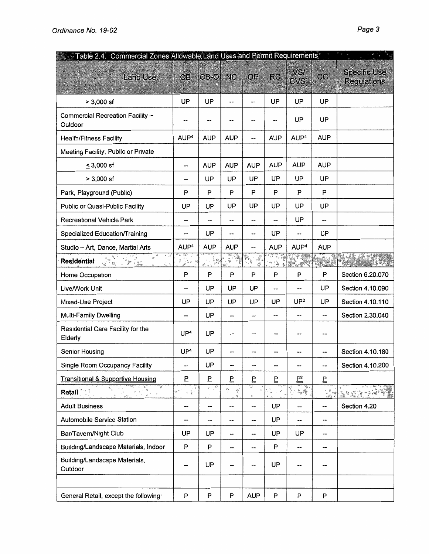| Table 2.4. Commercial Zones Allowable Land Uses and Permit Requirements |                                                           |            |                                      |                     |                          |                          |                 |                                           |
|-------------------------------------------------------------------------|-----------------------------------------------------------|------------|--------------------------------------|---------------------|--------------------------|--------------------------|-----------------|-------------------------------------------|
| Land Use:                                                               | CB                                                        | $CB-O$     | NC.                                  | OP                  | <b>RC</b>                | VSI.<br>CVS <sup>1</sup> | CC <sup>1</sup> | <b>Specific Use</b><br><b>Regulations</b> |
| $> 3,000$ sf                                                            | UP                                                        | UP         | $\overline{a}$                       | --                  | UP                       | UP                       | UP              |                                           |
| Commercial Recreation Facility -<br>Outdoor                             |                                                           |            |                                      | --                  |                          | UP                       | UP              |                                           |
| <b>Health/Fitness Facility</b>                                          | AUP <sup>4</sup>                                          | <b>AUP</b> | <b>AUP</b>                           | --                  | <b>AUP</b>               | AUP <sup>4</sup>         | <b>AUP</b>      |                                           |
| Meeting Facility, Public or Private                                     |                                                           |            |                                      |                     |                          |                          |                 |                                           |
| $\leq$ 3,000 sf                                                         | --                                                        | <b>AUP</b> | <b>AUP</b>                           | <b>AUP</b>          | <b>AUP</b>               | <b>AUP</b>               | <b>AUP</b>      |                                           |
| $> 3,000$ sf                                                            | --                                                        | UP         | UP                                   | UP                  | UP                       | UP                       | UP              |                                           |
| Park, Playground (Public)                                               | P                                                         | P          | P                                    | P                   | P                        | P                        | P               |                                           |
| Public or Quasi-Public Facility                                         | UP                                                        | UP         | UP                                   | UP                  | UP                       | UP                       | UP              |                                           |
| Recreational Vehicle Park                                               | --                                                        | --         | --                                   | --                  | --                       | UP                       | --              |                                           |
| Specialized Education/Training                                          | --                                                        | UP         | --                                   | --                  | UP                       | --                       | UP              |                                           |
| Studio - Art, Dance, Martial Arts                                       | AUP <sup>4</sup>                                          | <b>AUP</b> | <b>AUP</b>                           | --                  | <b>AUP</b>               | AUP <sup>4</sup>         | <b>AUP</b>      |                                           |
| $\mathcal{P}$<br>ای م<br>Residential<br>龙峰<br>$\delta_{\rm cr}$ .       |                                                           |            | 一等<br>e de la provincia<br>Castella  | $\mathcal{A}$<br>25 | 医绿                       | 山原                       |                 |                                           |
| Home Occupation                                                         | P                                                         | P          | P                                    | P                   | P                        | P                        | P               | Section 6.20.070                          |
| Live/Work Unit                                                          |                                                           | UP         | UP                                   | UP                  | --                       | --                       | UP              | Section 4.10.090                          |
| Mixed-Use Project                                                       | UP                                                        | UP         | UP                                   | UP                  | UP                       | UP <sup>2</sup>          | UP              | Section 4.10.110                          |
| Multi-Family Dwelling                                                   | --                                                        | UP         | ---                                  | --                  | --                       |                          | --              | Section 2.30.040                          |
| Residential Care Facility for the<br>Elderly                            | UP <sup>4</sup>                                           | UP         | ---                                  | --                  |                          |                          | --              |                                           |
| Senior Housing                                                          | UP <sup>4</sup>                                           | UP         |                                      |                     |                          |                          |                 | Section 4.10.180                          |
| Single Room Occupancy Facility                                          | --                                                        | UP         |                                      | --                  | $\overline{\phantom{a}}$ | --                       | ⊷               | Section 4.10.200                          |
| <b>Transitional &amp; Supportive Housing</b>                            | Б                                                         | Ē          | Б                                    | Б                   | $\overline{5}$           | $\underline{P}^2$        | Б               |                                           |
| Retail <b>Retail</b>                                                    | $\frac{1}{2} \sum_{i=1}^{n} \frac{1}{2}$<br>$\ll^{\nu-2}$ | र है       | œ,<br>$\hat{\Sigma}^{\rm s}_i$<br>÷, | $\kappa_{\rm e}$    |                          | 三、海参                     |                 | $\tilde{\Delta}$                          |
| <b>Adult Business</b>                                                   | --                                                        | --         | --                                   | --                  | UP                       |                          |                 | Section 4.20                              |
| <b>Automobile Service Station</b>                                       |                                                           | -⇒         | --                                   | --                  | UP                       | --                       | --              |                                           |
| Bar/Tavern/Night Club                                                   | UP                                                        | UP         | --                                   | --                  | <b>UP</b>                | UP                       | --              |                                           |
| Building/Landscape Materials, Indoor                                    | P                                                         | P          | --                                   | --                  | P                        | --                       | --              |                                           |
| Building/Landscape Materials,<br>Outdoor                                | --                                                        | UP         |                                      | --                  | UP                       |                          |                 |                                           |
|                                                                         |                                                           |            |                                      |                     |                          |                          |                 |                                           |
| General Retail, except the following                                    | P                                                         | P          | P                                    | <b>AUP</b>          | ${\sf P}$                | P                        | P               |                                           |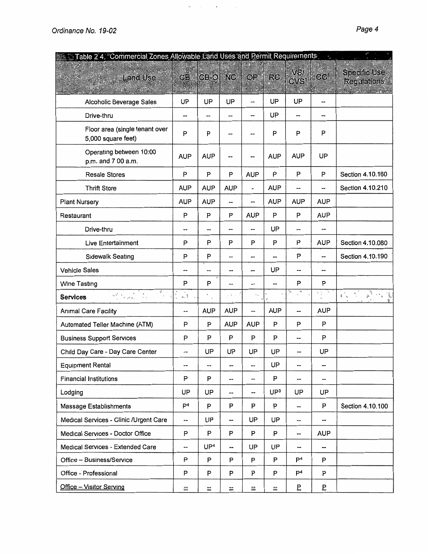| Table 2.4. Commercial Zones Allowable Land Uses and Permit Requirements                                                                               |                          |                 |            |                          |                 |                         | $\frac{q_i}{R}$                                        |                                                                                            |
|-------------------------------------------------------------------------------------------------------------------------------------------------------|--------------------------|-----------------|------------|--------------------------|-----------------|-------------------------|--------------------------------------------------------|--------------------------------------------------------------------------------------------|
| <b>Land Use</b>                                                                                                                                       | CB.                      | CB-O NC         |            | OP                       | <b>RC</b>       | VSI<br>CVS <sup>1</sup> | CC <sup>1</sup>                                        | <b>Specific Use</b><br><b>Regulations</b>                                                  |
|                                                                                                                                                       |                          |                 |            |                          |                 |                         |                                                        |                                                                                            |
| Alcoholic Beverage Sales                                                                                                                              | UP                       | UP              | UP         | --                       | UP              | UP                      | --                                                     |                                                                                            |
| Drive-thru                                                                                                                                            | --                       | --              | --         | --                       | UP              | --                      | --                                                     |                                                                                            |
| Floor area (single tenant over<br>5,000 square feet)                                                                                                  | P                        | P               |            |                          | P               | P                       | P                                                      |                                                                                            |
| Operating between 10:00<br>p.m. and 7 00 a.m.                                                                                                         | <b>AUP</b>               | <b>AUP</b>      | --         | --                       | <b>AUP</b>      | <b>AUP</b>              | UP                                                     |                                                                                            |
| Resale Stores                                                                                                                                         | P                        | P               | P          | <b>AUP</b>               | P               | P                       | P                                                      | Section 4.10.160                                                                           |
| <b>Thrift Store</b>                                                                                                                                   | <b>AUP</b>               | <b>AUP</b>      | <b>AUP</b> | $\rightarrow$            | <b>AUP</b>      | --                      | --                                                     | Section 4.10.210                                                                           |
| <b>Plant Nursery</b>                                                                                                                                  | <b>AUP</b>               | <b>AUP</b>      |            | --                       | <b>AUP</b>      | <b>AUP</b>              | <b>AUP</b>                                             |                                                                                            |
| Restaurant                                                                                                                                            | P                        | P               | P          | <b>AUP</b>               | P               | P                       | <b>AUP</b>                                             |                                                                                            |
| Drive-thru                                                                                                                                            | ⊷                        | --              | --         | --                       | UP              | --                      | --                                                     |                                                                                            |
| Live Entertainment                                                                                                                                    | P                        | P               | P          | P                        | P               | P                       | <b>AUP</b>                                             | Section 4.10.080                                                                           |
| <b>Sidewalk Seating</b>                                                                                                                               | P                        | P               | --         | --                       | --              | P                       | --                                                     | Section 4.10.190                                                                           |
| <b>Vehicle Sales</b>                                                                                                                                  | --                       | --              | ÷          | --                       | UP              | --                      | --                                                     |                                                                                            |
| Wine Tasting                                                                                                                                          | P                        | P               | --         |                          | --              | P                       | P                                                      |                                                                                            |
| ₹<br>$\label{eq:2.1} \epsilon_0\frac{\epsilon_0^{(2)}-\epsilon_0}{\epsilon_0-\epsilon_0}=\frac{\epsilon_0}{\epsilon_0-\epsilon_0},$<br>ž.<br>Services | $a, \frac{3}{2}$         |                 | $\epsilon$ | $\sim_{\Delta}$          |                 | ÷                       | $\sigma_{\mathbf{k}}$<br>$\frac{2}{3}$ . $\frac{5}{6}$ | $\begin{pmatrix} 1 & 1 \\ 1 & 1 \\ 1 & 1 \end{pmatrix}$<br>$q\stackrel{d^2}{\rightarrow}q$ |
| <b>Animal Care Facility</b>                                                                                                                           | --                       | <b>AUP</b>      | <b>AUP</b> |                          | <b>AUP</b>      | $\overline{a}$          | <b>AUP</b>                                             |                                                                                            |
| Automated Teller Machine (ATM)                                                                                                                        | P                        | P               | <b>AUP</b> | <b>AUP</b>               | P               | P                       | P                                                      |                                                                                            |
| <b>Business Support Services</b>                                                                                                                      | P                        | P               | P          | P                        | P               | --                      | P                                                      |                                                                                            |
| Child Day Care - Day Care Center                                                                                                                      |                          | UP              | UP         | UP                       | UP              |                         | UP                                                     |                                                                                            |
| <b>Equipment Rental</b>                                                                                                                               | $\overline{\phantom{a}}$ | --              | --         | $\overline{\phantom{a}}$ | UP              | ⊷                       | --                                                     |                                                                                            |
| <b>Financial Institutions</b>                                                                                                                         | P                        | P               | --         | --                       | P               | --                      | --                                                     |                                                                                            |
| Lodging                                                                                                                                               | UP                       | UP              | --         | --                       | UP <sup>3</sup> | UP                      | UP                                                     |                                                                                            |
| Massage Establishments                                                                                                                                | P <sup>4</sup>           | P               | P          | P                        | P               |                         | P                                                      | Section 4.10.100                                                                           |
| Medical Services - Clinic /Urgent Care                                                                                                                | --                       | UP              | --         | UP                       | UP              | --                      | --                                                     |                                                                                            |
| Medical Services - Doctor Office                                                                                                                      | P                        | P               | P          | P                        | P               | --                      | <b>AUP</b>                                             |                                                                                            |
| Medical Services - Extended Care                                                                                                                      | --                       | UP <sup>4</sup> | --         | UP                       | UP              | --                      | --                                                     |                                                                                            |
| Office - Business/Service                                                                                                                             | P                        | P               | P          | P                        | P               | $\mathsf{P}^4$          | P                                                      |                                                                                            |
| Office - Professional                                                                                                                                 | P                        | P               | P          | P                        | P               | P <sup>4</sup>          | P                                                      |                                                                                            |
| Office - Visitor Serving                                                                                                                              | $\equiv$                 | $\equiv$        | $\equiv$   | $\equiv$                 | $\equiv$        | Ē                       | E                                                      |                                                                                            |

 $\mathcal{L}$ 

 $\sim$   $\sim$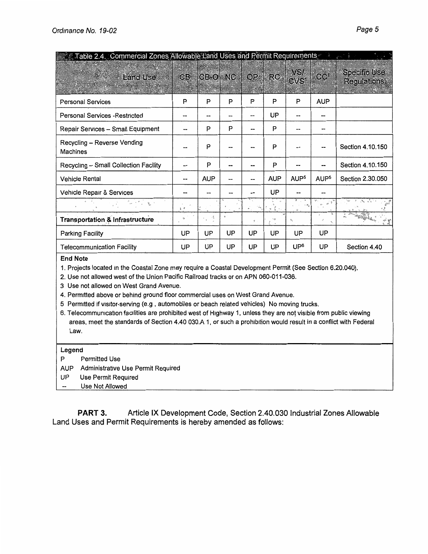| Table 2.4. Commercial Zones Allowable Land Uses and Permit Requirements |                           |            |    |           |            |                                      |                             |                                           |
|-------------------------------------------------------------------------|---------------------------|------------|----|-----------|------------|--------------------------------------|-----------------------------|-------------------------------------------|
| <b>Land Use</b>                                                         | CB <sup>-</sup>           | CB-O NC    |    | <b>OP</b> | RC.        | VSI <sub>1</sub><br>CVS <sup>1</sup> | CC <sup>1</sup>             | <b>Specific Use</b><br><b>Regulations</b> |
| <b>Personal Services</b>                                                | P                         | P          | P  | P         | P          | P                                    | <b>AUP</b>                  |                                           |
| <b>Personal Services - Restricted</b>                                   | --                        |            |    | --        | UP         |                                      | --                          |                                           |
| Repair Services - Small Equipment                                       |                           | P          | P  | --        | P          |                                      | --                          |                                           |
| Recycling - Reverse Vending<br><b>Machines</b>                          |                           | P          |    | --        | P          |                                      |                             | Section 4.10.150                          |
| Recycling - Small Collection Facility                                   |                           | P          |    |           | P          |                                      |                             | Section 4.10.150                          |
| Vehicle Rental                                                          | $\sim$                    | <b>AUP</b> |    | --        | <b>AUP</b> | AUP <sup>5</sup>                     | AUP <sup>5</sup>            | Section 2.30.050                          |
| Vehicle Repair & Services                                               |                           | --         |    |           | UP         |                                      |                             |                                           |
|                                                                         | $\mathbf{1}$ $\mathbf{4}$ |            |    |           |            | $\tilde{\mathbf{w}}$                 | $\mathcal{A}^{\mathcal{R}}$ |                                           |
| <b>Transportation &amp; Infrastructure</b>                              | ŵ                         | $\bullet$  |    | ¥         | ٠ę۰        | $\mathfrak{H}_{\mathbb{L}}$          |                             |                                           |
| <b>Parking Facility</b>                                                 | UP                        | UP         | UP | UP        | UP         | UP                                   | UP                          |                                           |
| <b>Telecommunication Facility</b>                                       | UP                        | UP         | UP | UP        | UP         | UP <sup>6</sup>                      | UP.                         | Section 4.40                              |

End Note

1. Projects located m the Coastal Zone may require a Coastal Development Permit (See Section 6.20.040).

2. Use not allowed west of the Union Pacific Railroad tracks or on APN 060-011-036.

3 Use not allowed on West Grand Avenue.

4. Permitted above or behind ground floor commercial uses on West Grand Avenue.

5 Permitted if visitor-serving (e.g , automobiles or beach related vehicles) No moving trucks.

6. Telecommunication facilities are prohibited west of Highway 1, unless they are not visible from public viewing areas, meet the standards of Section 4.40030.A1, or such a prohibition would result in a conflict with Federal Law.

#### Legend

- P Permitted Use
- AUP Administrative Use Permit Required
- UP Use Permit Required
- $\overline{\phantom{a}}$ Use Not Allowed

**PART 3.** Article IX Development Code, Section 2.40,030 Industrial Zones Allowable Land Uses and Permit Requirements is hereby amended as follows: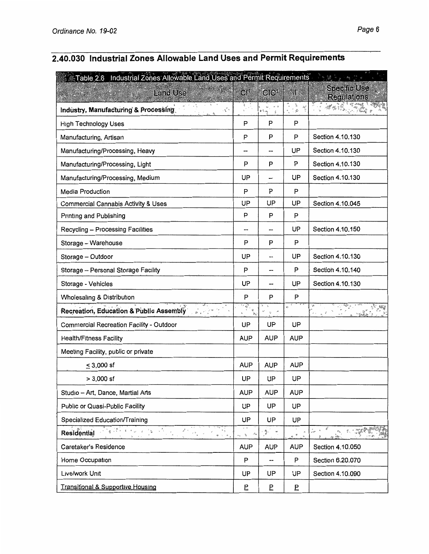# **2.40.030 Industrial Zones Allowable Land Uses and Permit Requirements**

| Table 2.6 Industrial Zones Allowable Land Uses and Permit Requirements                                                                       |                                                                                        |                            |                              | 4 條<br>$\frac{1}{2}$                      |
|----------------------------------------------------------------------------------------------------------------------------------------------|----------------------------------------------------------------------------------------|----------------------------|------------------------------|-------------------------------------------|
| <b>Land Use</b>                                                                                                                              | CI <sup>t</sup>                                                                        | Cl <sup>1</sup>            | 34                           | <b>Specific Use</b><br><b>Requlations</b> |
| Industry, Manufacturing & Processing<br>والحجين                                                                                              |                                                                                        | s                          | ø                            |                                           |
| <b>High Technology Uses</b>                                                                                                                  | P                                                                                      | P                          | P                            |                                           |
| Manufacturing, Artisan                                                                                                                       | P                                                                                      | P                          | P                            | Section 4.10.130                          |
| Manufacturing/Processing, Heavy                                                                                                              |                                                                                        | --                         | UP                           | Section 4.10.130                          |
| Manufacturing/Processing, Light                                                                                                              | P                                                                                      | P                          | P                            | Section 4.10.130                          |
| Manufacturing/Processing, Medium                                                                                                             | UP                                                                                     |                            | UP                           | Section 4.10.130                          |
| <b>Media Production</b>                                                                                                                      | P                                                                                      | P                          | P                            |                                           |
| <b>Commercial Cannabis Activity &amp; Uses</b>                                                                                               | UP                                                                                     | UP                         | UP                           | Section 4.10.045                          |
| Printing and Publishing                                                                                                                      | P                                                                                      | P                          | P                            |                                           |
| Recycling - Processing Facilities                                                                                                            |                                                                                        |                            | UP                           | Section 4.10.150                          |
| Storage - Warehouse                                                                                                                          | P                                                                                      | P                          | P                            |                                           |
| Storage - Outdoor                                                                                                                            | UP.                                                                                    | $\ddotsc$                  | UP                           | Section 4.10.130                          |
| Storage - Personal Storage Facility                                                                                                          | P                                                                                      |                            | P                            | Section 4.10.140                          |
| Storage - Vehicles                                                                                                                           | UP                                                                                     |                            | UP                           | Section 4.10.130                          |
| Wholesaling & Distribution                                                                                                                   | P                                                                                      | P                          | P                            |                                           |
| Recreation, Education & Public Assembly<br>$\begin{smallmatrix}&0&&&&&\cdots&\\&0&1&&&&&\cdots&\\0&&&&&&&\cdots&\\&&&&&&&&\end{smallmatrix}$ | $\overline{\mathcal{L}_{\mathcal{G}_{\mathcal{A}}^{(1)}}^{\mathcal{G}_{\mathcal{A}}}}$ | $\mathcal{L}$<br>$\forall$ | $\mathcal{G}^{\mathfrak{t}}$ |                                           |
| Commercial Recreation Facility - Outdoor                                                                                                     | UP                                                                                     | UP                         | UP                           |                                           |
| <b>Health/Fitness Facility</b>                                                                                                               | <b>AUP</b>                                                                             | <b>AUP</b>                 | <b>AUP</b>                   |                                           |
| Meeting Facility, public or private                                                                                                          |                                                                                        |                            |                              |                                           |
| $\leq$ 3,000 sf                                                                                                                              | <b>AUP</b>                                                                             | <b>AUP</b>                 | <b>AUP</b>                   |                                           |
| $> 3,000$ sf                                                                                                                                 | UP                                                                                     | UP                         | UP                           |                                           |
| Studio - Art, Dance, Martial Arts                                                                                                            | <b>AUP</b>                                                                             | <b>AUP</b>                 | <b>AUP</b>                   |                                           |
| Public or Quasi-Public Facility                                                                                                              | UP                                                                                     | UP                         | UP                           |                                           |
| Specialized Education/Training                                                                                                               | UP                                                                                     | UP                         | UP                           |                                           |
| Residential<br>$a \rightarrow e$                                                                                                             | $\mathcal{A}_A$<br>$\mathcal{R}$<br>$\epsilon$                                         | $\mathcal{F}$<br>$\omega$  | $\theta$<br>ë.               | $\frac{d}{dt} \omega_{\rm{eff}} = -0$     |
| Caretaker's Residence                                                                                                                        | <b>AUP</b>                                                                             | <b>AUP</b>                 | <b>AUP</b>                   | Section 4.10.050                          |
| Home Occupation                                                                                                                              | P                                                                                      | --                         | P                            | Section 6.20.070                          |
| Live/work Unit                                                                                                                               | UP                                                                                     | UP                         | UP                           | Section 4.10.090                          |
| Transitional & Supportive Housing                                                                                                            | Ē                                                                                      | E                          | 모                            |                                           |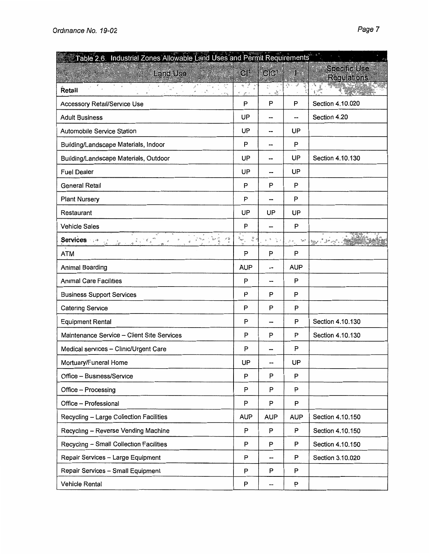| Table 2.6. Industrial Zones Allowable Land Uses and Permit Requirements                                                                                                                                                                                                                                                                                                                |                                                                                                                                                                                                                                                                                                                                                                                               |                                      |                                                                                                     |                                           |
|----------------------------------------------------------------------------------------------------------------------------------------------------------------------------------------------------------------------------------------------------------------------------------------------------------------------------------------------------------------------------------------|-----------------------------------------------------------------------------------------------------------------------------------------------------------------------------------------------------------------------------------------------------------------------------------------------------------------------------------------------------------------------------------------------|--------------------------------------|-----------------------------------------------------------------------------------------------------|-------------------------------------------|
| S REAR SAL<br><b>Land Use</b>                                                                                                                                                                                                                                                                                                                                                          | $CI^1$                                                                                                                                                                                                                                                                                                                                                                                        | CIC <sup>1</sup>                     | $\mathbf{H}$                                                                                        | <b>Specific Use</b><br><b>Regulations</b> |
| Retail                                                                                                                                                                                                                                                                                                                                                                                 | $\frac{1}{2} \sum_{i=1}^N \frac{1}{2} \sum_{i=1}^N \frac{1}{2} \sum_{i=1}^N \frac{1}{2} \sum_{i=1}^N \frac{1}{2} \sum_{i=1}^N \frac{1}{2} \sum_{i=1}^N \frac{1}{2} \sum_{i=1}^N \frac{1}{2} \sum_{i=1}^N \frac{1}{2} \sum_{i=1}^N \frac{1}{2} \sum_{i=1}^N \frac{1}{2} \sum_{i=1}^N \frac{1}{2} \sum_{i=1}^N \frac{1}{2} \sum_{i=1}^N \frac{1}{2} \sum_{i=$<br>¢<br>$g^{\mu \rightarrow \nu}$ | $\frac{1}{2}$<br>法<br>$\mathfrak{D}$ | تن الأبه                                                                                            | <b>Tage</b>                               |
| <b>Accessory Retail/Service Use</b>                                                                                                                                                                                                                                                                                                                                                    | P                                                                                                                                                                                                                                                                                                                                                                                             | P                                    | P                                                                                                   | Section 4.10.020                          |
| <b>Adult Business</b>                                                                                                                                                                                                                                                                                                                                                                  | UP                                                                                                                                                                                                                                                                                                                                                                                            |                                      | --                                                                                                  | Section 4.20                              |
| <b>Automobile Service Station</b>                                                                                                                                                                                                                                                                                                                                                      | UP                                                                                                                                                                                                                                                                                                                                                                                            | --                                   | UP                                                                                                  |                                           |
| Building/Landscape Materials, Indoor                                                                                                                                                                                                                                                                                                                                                   | P                                                                                                                                                                                                                                                                                                                                                                                             | --                                   | P                                                                                                   |                                           |
| Building/Landscape Materials, Outdoor                                                                                                                                                                                                                                                                                                                                                  | UP                                                                                                                                                                                                                                                                                                                                                                                            | --                                   | UP                                                                                                  | Section 4.10.130                          |
| <b>Fuel Dealer</b>                                                                                                                                                                                                                                                                                                                                                                     | UP                                                                                                                                                                                                                                                                                                                                                                                            | --                                   | UP                                                                                                  |                                           |
| <b>General Retail</b>                                                                                                                                                                                                                                                                                                                                                                  | P                                                                                                                                                                                                                                                                                                                                                                                             | P                                    | P                                                                                                   |                                           |
| <b>Plant Nursery</b>                                                                                                                                                                                                                                                                                                                                                                   | P                                                                                                                                                                                                                                                                                                                                                                                             | --                                   | P                                                                                                   |                                           |
| Restaurant                                                                                                                                                                                                                                                                                                                                                                             | UP                                                                                                                                                                                                                                                                                                                                                                                            | UP                                   | UP                                                                                                  |                                           |
| <b>Vehicle Sales</b>                                                                                                                                                                                                                                                                                                                                                                   | P                                                                                                                                                                                                                                                                                                                                                                                             |                                      | P                                                                                                   |                                           |
| vö<br>Services :<br>$\frac{1}{n-k} \geq \frac{1}{n} \sum_{i=0}^{n} \frac{1}{n} \sum_{i=0}^{n} \frac{1}{n} \sum_{i=0}^{n} \frac{1}{n} \sum_{i=0}^{n} \frac{1}{n} \sum_{i=0}^{n} \frac{1}{n} \sum_{i=0}^{n} \frac{1}{n} \sum_{i=0}^{n} \frac{1}{n} \sum_{i=0}^{n} \frac{1}{n} \sum_{i=0}^{n} \frac{1}{n} \sum_{i=0}^{n} \frac{1}{n} \sum_{i=0}^{n} \frac{1}{n} \sum_{i=0}^{n} \frac{1}{$ | $\frac{m}{\pi} <$<br>$\hat{c}_{\text{spec}}$                                                                                                                                                                                                                                                                                                                                                  | 文章 字文                                | $\gamma_{\rm eff}/\gamma$<br>$\mathcal{J}^{\mathcal{L}}$ as $\mathcal{J}_{\mathcal{M},\mathcal{L}}$ | <b>By Litt Print</b>                      |
| <b>ATM</b>                                                                                                                                                                                                                                                                                                                                                                             | P                                                                                                                                                                                                                                                                                                                                                                                             | P                                    | P                                                                                                   |                                           |
| Animal Boarding                                                                                                                                                                                                                                                                                                                                                                        | <b>AUP</b>                                                                                                                                                                                                                                                                                                                                                                                    | --                                   | <b>AUP</b>                                                                                          |                                           |
| <b>Animal Care Facilities</b>                                                                                                                                                                                                                                                                                                                                                          | P                                                                                                                                                                                                                                                                                                                                                                                             |                                      | P                                                                                                   |                                           |
| <b>Business Support Services</b>                                                                                                                                                                                                                                                                                                                                                       | P                                                                                                                                                                                                                                                                                                                                                                                             | P                                    | P                                                                                                   |                                           |
| <b>Catering Service</b>                                                                                                                                                                                                                                                                                                                                                                | P                                                                                                                                                                                                                                                                                                                                                                                             | P                                    | P                                                                                                   |                                           |
| <b>Equipment Rental</b>                                                                                                                                                                                                                                                                                                                                                                | P                                                                                                                                                                                                                                                                                                                                                                                             | $\overline{a}$                       | P                                                                                                   | Section 4.10.130                          |
| Maintenance Service - Client Site Services                                                                                                                                                                                                                                                                                                                                             | P                                                                                                                                                                                                                                                                                                                                                                                             | P                                    | P                                                                                                   | Section 4.10.130                          |
| Medical services - Clinic/Urgent Care                                                                                                                                                                                                                                                                                                                                                  | P                                                                                                                                                                                                                                                                                                                                                                                             |                                      | P                                                                                                   |                                           |
| Mortuary/Funeral Home                                                                                                                                                                                                                                                                                                                                                                  | UP                                                                                                                                                                                                                                                                                                                                                                                            |                                      | UP                                                                                                  |                                           |
| Office - Business/Service                                                                                                                                                                                                                                                                                                                                                              | P                                                                                                                                                                                                                                                                                                                                                                                             | P                                    | P                                                                                                   |                                           |
| Office - Processing                                                                                                                                                                                                                                                                                                                                                                    | P                                                                                                                                                                                                                                                                                                                                                                                             | P                                    | P                                                                                                   |                                           |
| Office - Professional                                                                                                                                                                                                                                                                                                                                                                  | P                                                                                                                                                                                                                                                                                                                                                                                             | P                                    | P                                                                                                   |                                           |
| Recycling - Large Collection Facilities                                                                                                                                                                                                                                                                                                                                                | <b>AUP</b>                                                                                                                                                                                                                                                                                                                                                                                    | AUP                                  | <b>AUP</b>                                                                                          | Section 4.10.150                          |
| Recycling - Reverse Vending Machine                                                                                                                                                                                                                                                                                                                                                    | P                                                                                                                                                                                                                                                                                                                                                                                             | P                                    | P                                                                                                   | Section 4.10.150                          |
| Recycling - Small Collection Facilities                                                                                                                                                                                                                                                                                                                                                | P                                                                                                                                                                                                                                                                                                                                                                                             | P                                    | P                                                                                                   | Section 4.10.150                          |
| Repair Services - Large Equipment                                                                                                                                                                                                                                                                                                                                                      | P                                                                                                                                                                                                                                                                                                                                                                                             | ⊷–                                   | P                                                                                                   | Section 3.10.020                          |
| Repair Services - Small Equipment                                                                                                                                                                                                                                                                                                                                                      | P                                                                                                                                                                                                                                                                                                                                                                                             | P                                    | P                                                                                                   |                                           |
| Vehicle Rental                                                                                                                                                                                                                                                                                                                                                                         | P                                                                                                                                                                                                                                                                                                                                                                                             | --                                   | P                                                                                                   |                                           |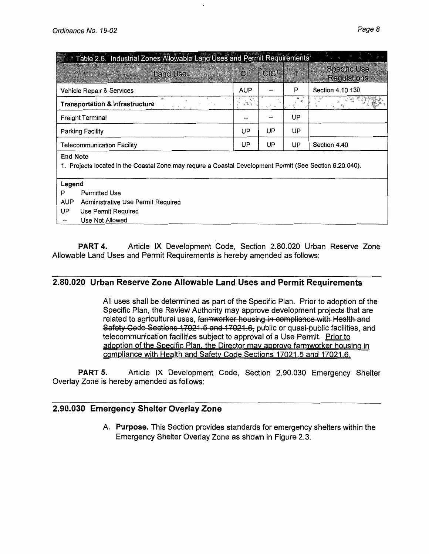| Table 2.6. Industrial Zones Allowable Land Uses and Permit Requirements                                                     |            |                  |    |                                           |
|-----------------------------------------------------------------------------------------------------------------------------|------------|------------------|----|-------------------------------------------|
| <b>Land Use</b><br><b>CITY ASSAULT PLANT</b>                                                                                | $Cl^+$     | ClC <sup>1</sup> | 雞  | <b>Specific Use</b><br><b>Regulations</b> |
| Vehicle Repair & Services                                                                                                   | <b>AUP</b> |                  | P  | Section 4.10 130                          |
| Transportation & Infrastructure                                                                                             | $\sim 8.5$ |                  |    |                                           |
| <b>Freight Terminal</b>                                                                                                     |            |                  | UP |                                           |
| <b>Parking Facility</b>                                                                                                     | UP         | UP               | UP |                                           |
| <b>Telecommunication Facility</b>                                                                                           | UP         | UP               | UP | Section 4.40                              |
| <b>End Note</b><br>1. Projects located in the Coastal Zone may require a Coastal Development Permit (See Section 6.20.040). |            |                  |    |                                           |
| Legend                                                                                                                      |            |                  |    |                                           |
| P<br>Permitted Use                                                                                                          |            |                  |    |                                           |
| <b>AUP</b><br>Administrative Use Permit Required                                                                            |            |                  |    |                                           |
| UP<br>Use Permit Required                                                                                                   |            |                  |    |                                           |
| Use Not Allowed                                                                                                             |            |                  |    |                                           |

**PART 4.** Article IX Development Code, Section 2.80.020 Urban Reserve Zone Allowable Land Uses and Permit Requirements is hereby amended as follows:

## **2.80.020 Urban Reserve Zone Allowable Land Uses and Permit Requirements**

All uses shall be determined as part of the Specific Plan. Prior to adoption of the Specific Plan, the Review Authority may approve development projects that are related to agricultural uses, farmworker housing in compliance with Health and Safety Code Sections 17021.5 and 17021.6, public or quasi-public facilities, and telecommunication facilities subject to approval of a Use Permit. Prior to adoption of the Specific Plan, the Director may approve farmworker housing in compliance with Health and Safety Code Sections 17021.5 and 17021.6.

**PART 5.** Article IX Development Code, Section 2.90.030 Emergency Shelter Overlay Zone is hereby amended as follows:

## **2.90.030 Emergency Shelter Overlay Zone**

**A. Purpose.** This Section provides standards for emergency shelters within the Emergency Shelter Overlay Zone as shown in Figure 2.3.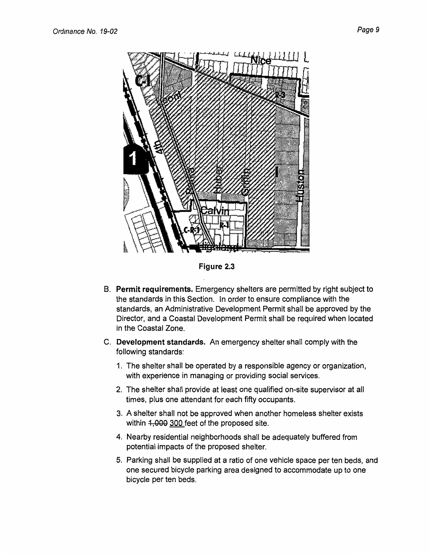

**Figure 2.3** 

- **B. Permit requirements.** Emergency shelters are permitted by right subject to the standards in this Section. In order to ensure compliance with the standards, an Administrative Development Permit shall be approved by the Director, and a Coastal Development Permit shall be required when located in the Coastal Zone.
- C. **Development standards.** An emergency shelter shall comply with the following standards:
	- 1. The shelter shall be operated by a responsible agency or organization, with experience in managing or providing social services.
	- 2. The shelter shall provide at least one qualified on-site supervisor at all times, plus one attendant for each fifty occupants.
	- 3. A shelter shall not be approved when another homeless shelter exists within 4,000 300 feet of the proposed site.
	- 4. Nearby residential neighborhoods shall be adequately buffered from potential impacts of the proposed shelter.
	- 5. Parking shall be supplied at a ratio of one vehicle space per ten beds, and one secured bicycle parking area designed to accommodate up to one bicycle per ten beds.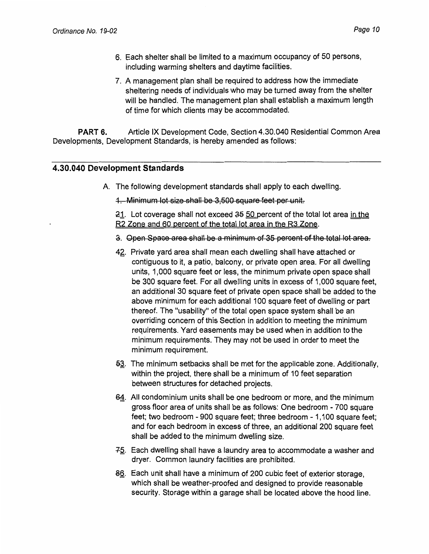- 6. Each shelter shall be limited to a maximum occupancy of 50 persons, including warming shelters and daytime facilities.
- 7. A management plan shall be required to address how the immediate sheltering needs of individuals who may be turned away from the shelter will be handled. The management plan shall establish a maximum length of time for which clients may be accommodated.

**PART** 6. Article IX Development Code, Section 4.30.040 Residential Common Area Developments, Development Standards, is hereby amended as follows:

#### **4.30.040 Development Standards**

A. The following development standards shall apply to each dwelling.

1. Minimum lot size shall be 3,500 square feet per unit.

21. Lot coverage shall not exceed 35 50 percent of the total lot area in the R2 Zone and 60 percent of the total lot area in the R3 Zone.

- a. Open Space area shall be a minimum of 35 percent of the total lot area.
- 42. Private yard area shall mean each dwelling shall have attached or contiguous to it, a patio, balcony, or private open area. For all dwelling units, 1,000 square feet or less, the minimum private open space shall be 300 square feet. For all dwelling units in excess of 1,000 square feet, an additional 30 square feet of private open space shall be added to the above minimum for each additional 100 square feet of dwelling or part thereof. The "usability" of the total open space system shall be an overriding concern of this Section in addition to meeting the minimum requirements. Yard easements may be used when in addition to the minimum requirements. They may not be used in order to meet the minimum requirement.
- 53. The minimum setbacks shall be met for the applicable zone. Additionally, within the project, there shall be a minimum of 10 feet separation between structures for detached projects.
- 64. All condominium units shall be one bedroom or more, and the minimum gross floor area of units shall be as follows: One bedroom - 700 square feet; two bedroom - 900 square feet; three bedroom - 1, 100 square feet; and for each bedroom in excess of three, an additional 200 square feet shall be added to the minimum dwelling size.
- $-75.$  Each dwelling shall have a laundry area to accommodate a washer and dryer. Common laundry facilities are prohibited.
- 8§. Each unit shall have a minimum of 200 cubic feet of exterior storage, which shall be weather-proofed and designed to provide reasonable security. Storage within a garage shall be located above the hood line.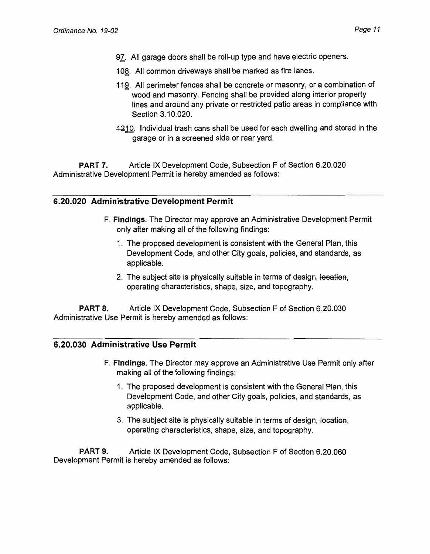- 97. All garage doors shall be roll-up type and have electric openers.
- 408. All common driveways shall be marked as fire lanes.
- 449. All perimeter fences shall be concrete or masonry, or a combination of wood and masonry. Fencing shall be provided along interior property lines and around any private or restricted patio areas in compliance with Section 3.10.020.
- 4210. Individual trash cans shall be used for each dwelling and stored in the garage or in a screened side or rear yard.

**PART 7.** Article IX Development Code, Subsection F of Section 6.20.020 Administrative Development Permit is hereby amended as follows:

## **6.20.020 Administrative Development Permit**

- **F. Findings.** The Director may approve an Administrative Development Permit only after making all of the following findings:
	- 1. The proposed development is consistent with the General Plan, this Development Code, and other City goals, policies, and standards, as applicable.
	- 2. The subject site is physically suitable in terms of design, location, operating characteristics, shape, size, and topography.

**PART 8.** Article IX Development Code, Subsection F of Section 6.20.030 Administrative Use Permit is hereby amended as follows:

## **6.20.030 Administrative Use Permit**

- **F. Findings.** The Director may approve an Administrative Use Permit only after making all of the following findings:
	- 1. The proposed development is consistent with the General Plan, this Development Code, and other City goals, policies, and standards, as applicable.
	- 3. The subject site is physically suitable in terms of design, location, operating characteristics, shape, size, and topography.

**PART 9.** Article IX Development Code, Subsection F of Section 6.20.060 Development Permit is hereby amended as follows: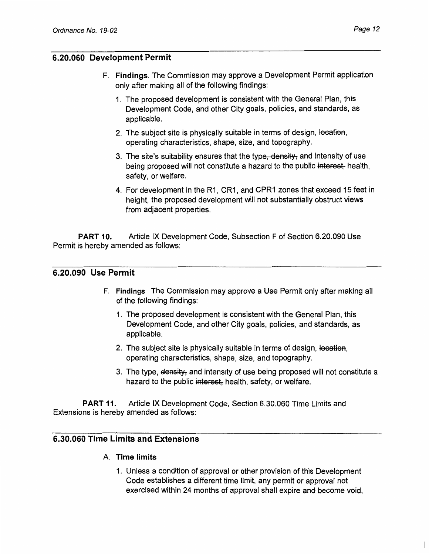## 6.20.060 Development Permit

- F. Findings. The Commission may approve a Development Permit application only after making all of the following findings:
	- 1. The proposed development is consistent with the General Plan, this Development Code, and other City goals, policies, and standards, as applicable.
	- 2. The subject site is physically suitable in terms of design, location, operating characteristics, shape, size, and topography.
	- 3. The site's suitability ensures that the type<del>, density,</del> and intensity of use being proposed will not constitute a hazard to the public interest, health, safety, or welfare.
	- 4. For development in the R1, CR1, and CPR1 zones that exceed 15 feet in height, the proposed development will not substantially obstruct views from adjacent properties.

PART 10. Article IX Development Code, Subsection F of Section 6.20.090 Use Permit is hereby amended as follows:

#### 6.20.090 Use Permit

- F. Findings The Commission may approve a Use Permit only after making all of the following findings:
	- 1. The proposed development is consistent with the General Plan, this Development Code, and other City goals, policies, and standards, as applicable.
	- 2. The subject site is physically suitable in terms of design, location, operating characteristics, shape, size, and topography.
	- 3. The type, density, and intensity of use being proposed will not constitute a hazard to the public interest, health, safety, or welfare.

PART 11. Article IX Development Code, Section 6.30.060 Time Limits and Extensions is hereby amended as follows:

#### 6.30.060 Time Limits and Extensions

- A. Time limits
	- 1. Unless a condition of approval or other provision of this Development Code establishes a different time limit, any permit or approval not exercised within 24 months of approval shall expire and become void,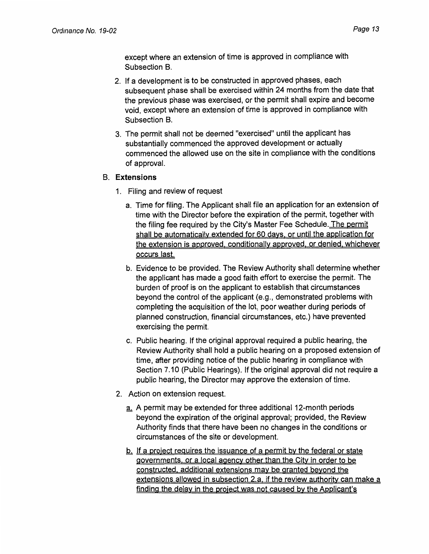except where an extension of time is approved in compliance with Subsection B.

- 2. If a development is to be constructed in approved phases, each subsequent phase shall be exercised within 24 months from the date that the previous phase was exercised, or the permit shall expire and become void, except where an extension of time is approved in compliance with Subsection B.
- 3. The permit shall not be deemed "exercised" until the applicant has substantially commenced the approved development or actually commenced the allowed use on the site in compliance with the conditions of approval.

#### 8. **Extensions**

- 1. Filing and review of request
	- a. Time for filing. The Applicant shall file an application for an extension of time with the Director before the expiration of the permit, together with the filing fee required by the City's Master Fee Schedule. The permit shall be automatically extended for 60 days. or until the application for the extension is approved, conditionally approved, or denied, whichever occurs last.
	- b. Evidence to be provided. The Review Authority shall determine whether the applicant has made a good faith effort to exercise the permit. The burden of proof is on the applicant to establish that circumstances beyond the control of the applicant (e.g., demonstrated problems with completing the acquisition of the lot, poor weather during periods of planned construction, financial circumstances, etc.) have prevented exercising the permit.
	- c. Public hearing. If the original approval required a public hearing, the Review Authority shall hold a public hearing on a proposed extension of time, after providing notice of the public hearing in compliance with Section 7.10 (Public Hearings). If the original approval did not require a public hearing, the Director may approve the extension of time.
- 2. Action on extension request.
	- a. A permit may be extended for three additional 12-month periods beyond the expiration of the original approval; provided, the Review Authority finds that there have been no changes in the conditions or circumstances of the site or development.
	- b.. If a project requires the issuance of a permit by the federal or state governments, or a local agency other than the City in order to be constructed, additional extensions may be granted beyond the extensions allowed in subsection 2.a if the review authority can make a finding the delay in the project was not caused by the Applicant's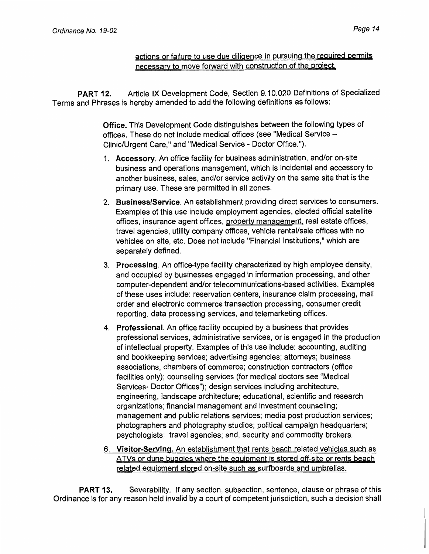actions or failure to use due diligence in pursuing the required permits necessarv to move forward with construction of the project

PART 12. Article IX Development Code, Section 9.10.020 Definitions of Specialized Terms and Phrases is hereby amended to add the following definitions as follows:

> Office. This Development Code distinguishes between the following types of offices. These do not include medical offices (see "Medical Service - Clinic/Urgent Care," and "Medical Service - Doctor Office.").

- 1. Accessory. An office facility for business administration, and/or on-site business and operations management, which is incidental and accessory to another business, sales, and/or service activity on the same site that is the primary use. These are permitted in all zones.
- 2. Business/Service. An establishment providing direct services to consumers. Examples of this use include employment agencies, elected official satellite offices, insurance agent offices, property management. real estate offices, travel agencies, utility company offices, vehicle rental/sale offices with no vehicles on site, etc. Does not include "Financial Institutions," which are separately defined.
- 3. Processing. An office-type facility characterized by high employee density, and occupied by businesses engaged in information processing, and other computer-dependent and/or telecommunications-based activities. Examples of these uses include: reservation centers, insurance claim processing, mail order and electronic commerce transaction processing, consumer credit reporting, data processing services, and telemarketing offices.
- 4. Professional. An office facility occupied by a business that provides professional services, administrative services, or is engaged in the production of intellectual property. Examples of this use include: accounting, auditing and bookkeeping services; advertising agencies; attorneys; business associations, chambers of commerce; construction contractors (office facilities only); counseling services (for medical doctors see "Medical Services- Doctor Offices"); design services including architecture, engineering, landscape architecture; educational, scientific and research organizations; financial management and investment counseling; management and public relations services; media post production services; photographers and photography studios; political campaign headquarters; psychologists; travel agencies; and, security and commodity brokers.
- 6. Visitor-Serving. An establishment that rents beach related vehicles such as ATVs or dune buggies where the equipment is stored off-site or rents beach related equipment stored on-site such as surfboards and umbrellas.

PART 13. Severability. If any section, subsection, sentence, clause or phrase of this Ordinance is for any reason held invalid by a court of competent jurisdiction, such a decision shall